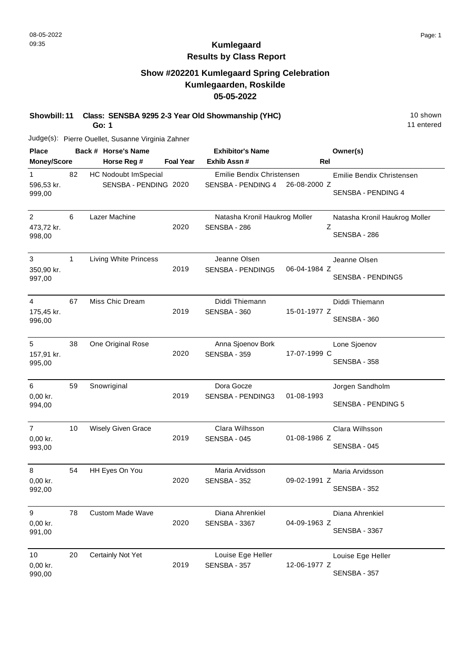#### **Show #202201 Kumlegaard Spring Celebration Kumlegaarden, Roskilde 05-05-2022**

**Showbill: 11 Class: SENSBA 9295 2-3 Year Old Showmanship (YHC)** 10 Shown

**Go: 1**

Judge(s): Pierre Ouellet, Susanne Virginia Zahner

| <b>Place</b>                           |              | Back # Horse's Name                                  |                  | <b>Exhibitor's Name</b>                         |              | Owner(s)                                           |
|----------------------------------------|--------------|------------------------------------------------------|------------------|-------------------------------------------------|--------------|----------------------------------------------------|
| <b>Money/Score</b>                     |              | Horse Reg #                                          | <b>Foal Year</b> | Exhib Assn #                                    | Rel          |                                                    |
| $\mathbf{1}$<br>596,53 kr.<br>999,00   | 82           | <b>HC Nodoubt ImSpecial</b><br>SENSBA - PENDING 2020 |                  | Emilie Bendix Christensen<br>SENSBA - PENDING 4 | 26-08-2000 Z | Emilie Bendix Christensen<br>SENSBA - PENDING 4    |
| $\overline{2}$<br>473,72 kr.<br>998,00 | 6            | Lazer Machine                                        | 2020             | Natasha Kronil Haukrog Moller<br>SENSBA - 286   |              | Natasha Kronil Haukrog Moller<br>Z<br>SENSBA - 286 |
| 3<br>350,90 kr.<br>997,00              | $\mathbf{1}$ | <b>Living White Princess</b>                         | 2019             | Jeanne Olsen<br>SENSBA - PENDING5               | 06-04-1984 Z | Jeanne Olsen<br>SENSBA - PENDING5                  |
| $\overline{4}$<br>175,45 kr.<br>996,00 | 67           | Miss Chic Dream                                      | 2019             | Diddi Thiemann<br>SENSBA - 360                  | 15-01-1977 Z | Diddi Thiemann<br>SENSBA - 360                     |
| 5<br>157,91 kr.<br>995,00              | 38           | One Original Rose                                    | 2020             | Anna Sjoenov Bork<br>SENSBA - 359               | 17-07-1999 C | Lone Sjoenov<br>SENSBA - 358                       |
| 6<br>0,00 kr.<br>994,00                | 59           | Snowriginal                                          | 2019             | Dora Gocze<br>SENSBA - PENDING3                 | 01-08-1993   | Jorgen Sandholm<br>SENSBA - PENDING 5              |
| $\overline{7}$<br>0,00 kr.<br>993,00   | 10           | <b>Wisely Given Grace</b>                            | 2019             | Clara Wilhsson<br>SENSBA - 045                  | 01-08-1986 Z | Clara Wilhsson<br>SENSBA - 045                     |
| 8<br>$0,00$ kr.<br>992,00              | 54           | HH Eyes On You                                       | 2020             | Maria Arvidsson<br>SENSBA - 352                 | 09-02-1991 Z | Maria Arvidsson<br>SENSBA - 352                    |
| 9<br>0,00 kr.<br>991,00                | 78           | <b>Custom Made Wave</b>                              | 2020             | Diana Ahrenkiel<br><b>SENSBA - 3367</b>         | 04-09-1963 Z | Diana Ahrenkiel<br><b>SENSBA - 3367</b>            |
| 10<br>0,00 kr.<br>990,00               | 20           | Certainly Not Yet                                    | 2019             | Louise Ege Heller<br>SENSBA - 357               | 12-06-1977 Z | Louise Ege Heller<br>SENSBA - 357                  |

11 entered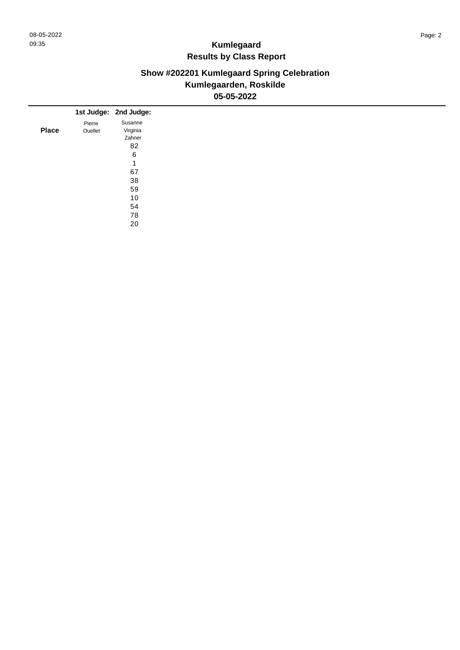### **Show #202201 Kumlegaard Spring Celebration Kumlegaarden, Roskilde 05-05-2022**

|              |         | 1st Judge: 2nd Judge: |
|--------------|---------|-----------------------|
|              | Pierre  | Susanne               |
| <b>Place</b> | Ouellet | Virginia              |
|              |         | Zahner                |
|              |         | 82                    |
|              |         | 6                     |
|              |         | 1                     |
|              |         | 67                    |
|              |         | 38                    |
|              |         | 59                    |
|              |         | 10                    |
|              |         |                       |
|              |         | 54                    |
|              |         | 78                    |
|              |         | 20                    |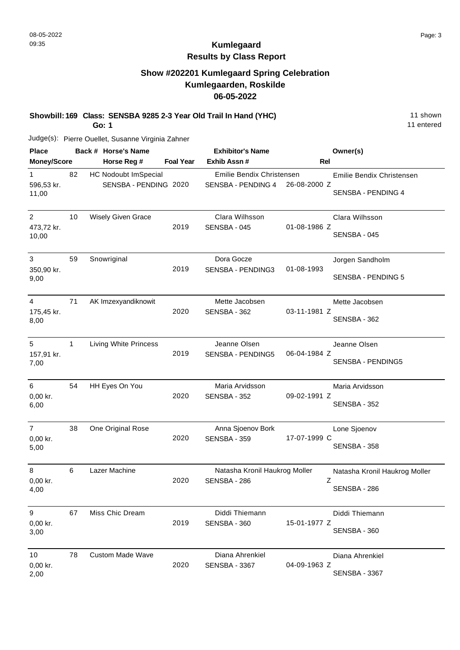11 entered

# **Kumlegaard Results by Class Report**

#### **Show #202201 Kumlegaard Spring Celebration Kumlegaarden, Roskilde 06-05-2022**

**Showbill: 169 Class: SENSBA 9285 2-3 Year Old Trail In Hand (YHC)** 11 Shown

**Go: 1**

Judge(s): Pierre Ouellet, Susanne Virginia Zahner

| <b>Place</b>                          |    | Back # Horse's Name                                  |                  | <b>Exhibitor's Name</b>                         |              | Owner(s)                                        |
|---------------------------------------|----|------------------------------------------------------|------------------|-------------------------------------------------|--------------|-------------------------------------------------|
| <b>Money/Score</b>                    |    | Horse Reg #                                          | <b>Foal Year</b> | Exhib Assn #                                    | Rel          |                                                 |
| 1<br>596,53 kr.<br>11,00              | 82 | <b>HC Nodoubt ImSpecial</b><br>SENSBA - PENDING 2020 |                  | Emilie Bendix Christensen<br>SENSBA - PENDING 4 | 26-08-2000 Z | Emilie Bendix Christensen<br>SENSBA - PENDING 4 |
| $\overline{2}$<br>473,72 kr.<br>10,00 | 10 | <b>Wisely Given Grace</b>                            | 2019             | Clara Wilhsson<br>SENSBA - 045                  | 01-08-1986 Z | Clara Wilhsson<br>SENSBA - 045                  |
| 3<br>350,90 kr.<br>9,00               | 59 | Snowriginal                                          | 2019             | Dora Gocze<br>SENSBA - PENDING3                 | 01-08-1993   | Jorgen Sandholm<br>SENSBA - PENDING 5           |
| 4<br>175,45 kr.<br>8,00               | 71 | AK Imzexyandiknowit                                  | 2020             | Mette Jacobsen<br>SENSBA - 362                  | 03-11-1981 Z | Mette Jacobsen<br>SENSBA - 362                  |
| 5<br>157,91 kr.<br>7,00               | 1  | Living White Princess                                | 2019             | Jeanne Olsen<br>SENSBA - PENDING5               | 06-04-1984 Z | Jeanne Olsen<br><b>SENSBA - PENDING5</b>        |
| 6<br>0,00 kr.<br>6,00                 | 54 | HH Eyes On You                                       | 2020             | Maria Arvidsson<br>SENSBA - 352                 | 09-02-1991 Z | Maria Arvidsson<br>SENSBA - 352                 |
| $\overline{7}$<br>0,00 kr.<br>5,00    | 38 | One Original Rose                                    | 2020             | Anna Sjoenov Bork<br>SENSBA - 359               | 17-07-1999 C | Lone Sjoenov<br>SENSBA - 358                    |
| 8<br>0,00 kr.<br>4,00                 | 6  | Lazer Machine                                        | 2020             | Natasha Kronil Haukrog Moller<br>SENSBA - 286   | Ζ            | Natasha Kronil Haukrog Moller<br>SENSBA - 286   |
| 9<br>0,00 kr.<br>3,00                 | 67 | Miss Chic Dream                                      | 2019             | Diddi Thiemann<br>SENSBA - 360                  | 15-01-1977 Z | Diddi Thiemann<br>SENSBA - 360                  |
| 10<br>0,00 kr.<br>2,00                | 78 | <b>Custom Made Wave</b>                              | 2020             | Diana Ahrenkiel<br><b>SENSBA - 3367</b>         | 04-09-1963 Z | Diana Ahrenkiel<br><b>SENSBA - 3367</b>         |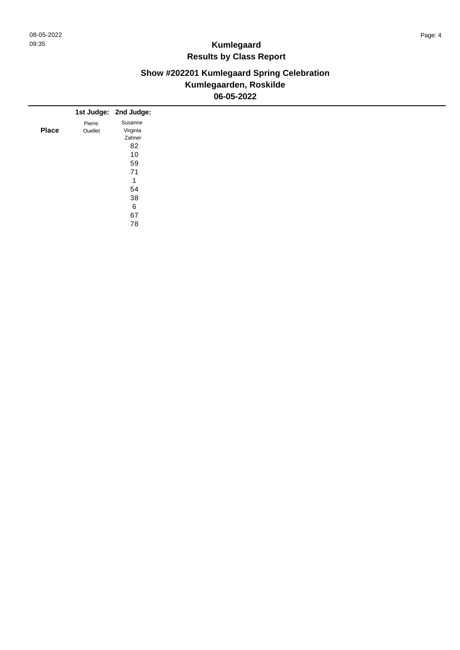### **Show #202201 Kumlegaard Spring Celebration Kumlegaarden, Roskilde 06-05-2022**

|              |         | 1st Judge: 2nd Judge: |
|--------------|---------|-----------------------|
|              |         | Susanne               |
|              | Pierre  |                       |
| <b>Place</b> | Ouellet | Virginia              |
|              |         | Zahner                |
|              |         | 82                    |
|              |         | 10                    |
|              |         | 59                    |
|              |         | 71                    |
|              |         | 4                     |
|              |         | 54                    |
|              |         | 38                    |
|              |         | 6                     |
|              |         | 67                    |
|              |         | 78                    |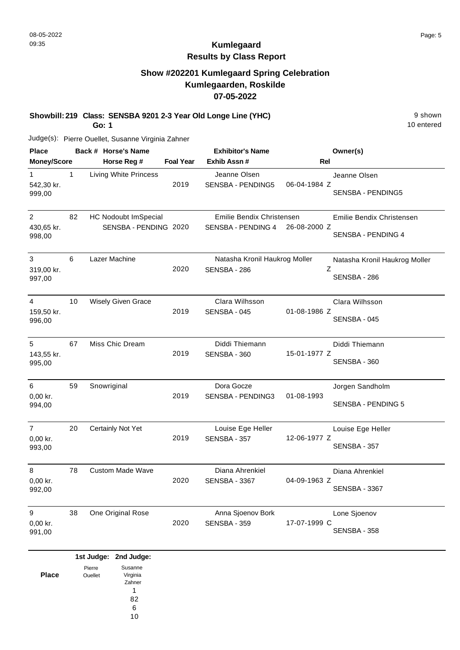#### **Show #202201 Kumlegaard Spring Celebration Kumlegaarden, Roskilde 07-05-2022**

**Showbill: 219 Class: SENSBA 9201 2-3 Year Old Longe Line (YHC)** 9 shown

**Go: 1**

Judge(s): Pierre Ouellet, Susanne Virginia Zahner

| <b>Place</b>                           |              | Back # Horse's Name                           |                  | <b>Exhibitor's Name</b>                         |              | Owner(s)                                        |
|----------------------------------------|--------------|-----------------------------------------------|------------------|-------------------------------------------------|--------------|-------------------------------------------------|
| Money/Score                            |              | Horse Reg #                                   | <b>Foal Year</b> | Exhib Assn#                                     | Rel          |                                                 |
| $\mathbf{1}$<br>542,30 kr.<br>999,00   | $\mathbf{1}$ | Living White Princess                         | 2019             | Jeanne Olsen<br><b>SENSBA - PENDING5</b>        | 06-04-1984 Z | Jeanne Olsen<br>SENSBA - PENDING5               |
| 2<br>430,65 kr.<br>998,00              | 82           | HC Nodoubt ImSpecial<br>SENSBA - PENDING 2020 |                  | Emilie Bendix Christensen<br>SENSBA - PENDING 4 | 26-08-2000 Z | Emilie Bendix Christensen<br>SENSBA - PENDING 4 |
| 3<br>319,00 kr.<br>997,00              | 6            | Lazer Machine                                 | 2020             | Natasha Kronil Haukrog Moller<br>SENSBA - 286   | Ζ            | Natasha Kronil Haukrog Moller<br>SENSBA - 286   |
| $\overline{4}$<br>159,50 kr.<br>996,00 | 10           | <b>Wisely Given Grace</b>                     | 2019             | Clara Wilhsson<br>SENSBA - 045                  | 01-08-1986 Z | Clara Wilhsson<br>SENSBA - 045                  |
| 5<br>143,55 kr.<br>995,00              | 67           | Miss Chic Dream                               | 2019             | Diddi Thiemann<br>SENSBA - 360                  | 15-01-1977 Z | Diddi Thiemann<br>SENSBA - 360                  |
| 6<br>0,00 kr.<br>994,00                | 59           | Snowriginal                                   | 2019             | Dora Gocze<br><b>SENSBA - PENDING3</b>          | 01-08-1993   | Jorgen Sandholm<br>SENSBA - PENDING 5           |
| $\overline{7}$<br>0,00 kr.<br>993,00   | 20           | Certainly Not Yet                             | 2019             | Louise Ege Heller<br>SENSBA - 357               | 12-06-1977 Z | Louise Ege Heller<br>SENSBA - 357               |
| 8<br>0,00 kr.<br>992,00                | 78           | <b>Custom Made Wave</b>                       | 2020             | Diana Ahrenkiel<br><b>SENSBA - 3367</b>         | 04-09-1963 Z | Diana Ahrenkiel<br><b>SENSBA - 3367</b>         |
| 9<br>0,00 kr.<br>991,00                | 38           | One Original Rose                             | 2020             | Anna Sjoenov Bork<br>SENSBA - 359               | 17-07-1999 C | Lone Sjoenov<br>SENSBA - 358                    |

|              |         | 1st Judge: 2nd Judge: |
|--------------|---------|-----------------------|
|              | Pierre  | Susanne               |
| <b>Place</b> | Ouellet | Virginia              |
|              |         | Zahner                |
|              |         |                       |
|              |         | 82                    |
|              |         | 6                     |
|              |         | 10                    |

10 entered